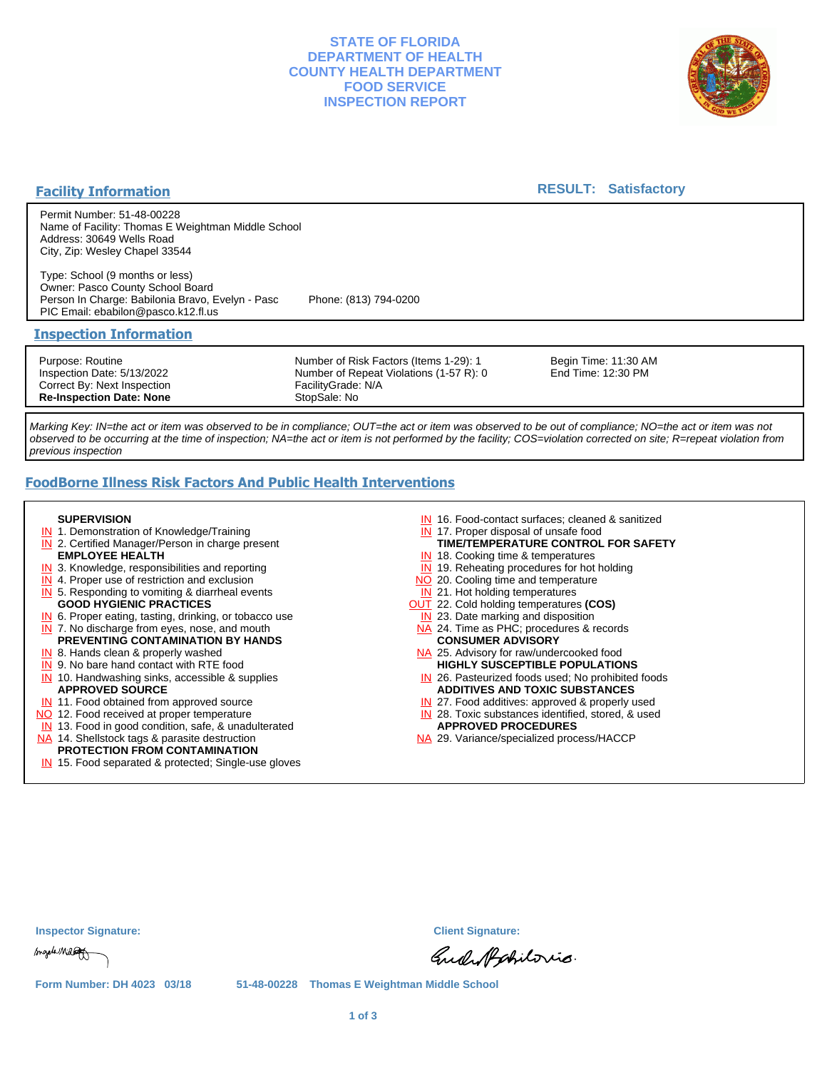## **STATE OF FLORIDA DEPARTMENT OF HEALTH COUNTY HEALTH DEPARTMENT FOOD SERVICE INSPECTION REPORT**



## **Facility Information**

## **RESULT: Satisfactory**

Permit Number: 51-48-00228 Name of Facility: Thomas E Weightman Middle School Address: 30649 Wells Road City, Zip: Wesley Chapel 33544

Type: School (9 months or less) Owner: Pasco County School Board Person In Charge: Babilonia Bravo, Evelyn - Pasc Phone: (813) 794-0200 PIC Email: ebabilon@pasco.k12.fl.us

#### **Inspection Information**

Purpose: Routine Inspection Date: 5/13/2022 Correct By: Next Inspection **Re-Inspection Date: None**

Number of Risk Factors (Items 1-29): 1 Number of Repeat Violations (1-57 R): 0 FacilityGrade: N/A StopSale: No

Begin Time: 11:30 AM End Time: 12:30 PM

Marking Key: IN=the act or item was observed to be in compliance; OUT=the act or item was observed to be out of compliance; NO=the act or item was not observed to be occurring at the time of inspection; NA=the act or item is not performed by the facility; COS=violation corrected on site; R=repeat violation from previous inspection

# **FoodBorne Illness Risk Factors And Public Health Interventions**

#### **SUPERVISION**

- **IN** 1. Demonstration of Knowledge/Training
- **IN** 2. Certified Manager/Person in charge present **EMPLOYEE HEALTH**
- **IN** 3. Knowledge, responsibilities and reporting
- **IN** 4. Proper use of restriction and exclusion
- **IN** 5. Responding to vomiting & diarrheal events
- **GOOD HYGIENIC PRACTICES**
- **IN** 6. Proper eating, tasting, drinking, or tobacco use **IN** 7. No discharge from eyes, nose, and mouth
- **PREVENTING CONTAMINATION BY HANDS**
- IN 8. Hands clean & properly washed
- **IN** 9. No bare hand contact with RTE food IN 10. Handwashing sinks, accessible & supplies **APPROVED SOURCE**
- **IN** 11. Food obtained from approved source
- NO 12. Food received at proper temperature
- IN 13. Food in good condition, safe, & unadulterated
- NA 14. Shellstock tags & parasite destruction

#### **PROTECTION FROM CONTAMINATION**

IN 15. Food separated & protected; Single-use gloves

- IN 16. Food-contact surfaces; cleaned & sanitized
- IN 17. Proper disposal of unsafe food
- IN 18. Cooking time & temperatures **TIME/TEMPERATURE CONTROL FOR SAFETY**
- **IN** 19. Reheating procedures for hot holding
- NO 20. Cooling time and temperature
- 
- IN 21. Hot holding temperatures
- OUT 22. Cold holding temperatures **(COS)**
- **IN** 23. Date marking and disposition NA 24. Time as PHC; procedures & records **CONSUMER ADVISORY**
- NA 25. Advisory for raw/undercooked food **HIGHLY SUSCEPTIBLE POPULATIONS**
- IN 26. Pasteurized foods used; No prohibited foods **ADDITIVES AND TOXIC SUBSTANCES**
- IN 27. Food additives: approved & properly used
- IN 28. Toxic substances identified, stored, & used **APPROVED PROCEDURES**
- NA 29. Variance/specialized process/HACCP

| <b>Inspector Signature:</b> |  |  |
|-----------------------------|--|--|
|                             |  |  |
|                             |  |  |

magele Millet

**Inspector Signature: Client Signature:**

Gude Apobilorio.

**Form Number: DH 4023 03/18 51-48-00228 Thomas E Weightman Middle School**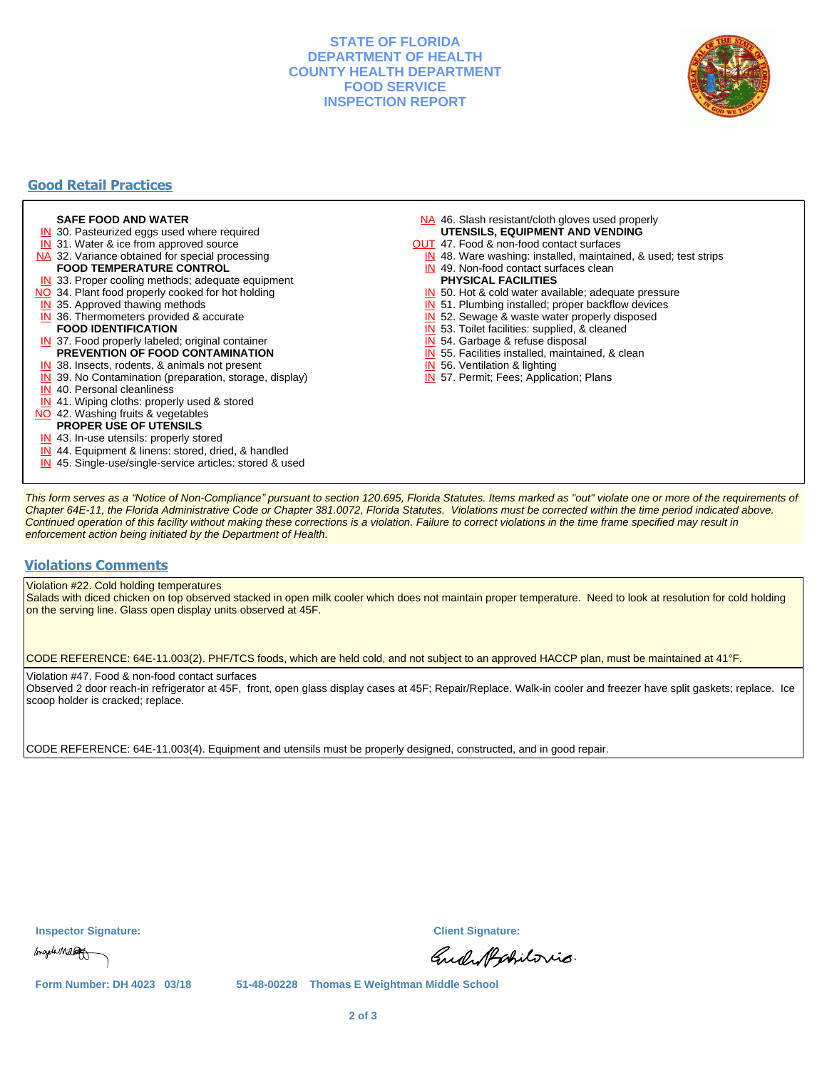## **STATE OF FLORIDA DEPARTMENT OF HEALTH COUNTY HEALTH DEPARTMENT FOOD SERVICE INSPECTION REPORT**



# **Good Retail Practices**

#### **SAFE FOOD AND WATER**

- **IN** 30. Pasteurized eggs used where required
- IN 31. Water & ice from approved source
- NA 32. Variance obtained for special processing
- **FOOD TEMPERATURE CONTROL**
- **IN** 33. Proper cooling methods; adequate equipment
- NO 34. Plant food properly cooked for hot holding
- **IN** 35. Approved thawing methods
- IN 36. Thermometers provided & accurate **FOOD IDENTIFICATION**
- IN 37. Food properly labeled; original container **PREVENTION OF FOOD CONTAMINATION**
- IN 38. Insects, rodents, & animals not present
- **IN** 39. No Contamination (preparation, storage, display)
- IN 40. Personal cleanliness
- IN 41. Wiping cloths: properly used & stored
- NO 42. Washing fruits & vegetables
	- **PROPER USE OF UTENSILS**
- IN 43. In-use utensils: properly stored
- IN 44. Equipment & linens: stored, dried, & handled
- IN 45. Single-use/single-service articles: stored & used
- NA 46. Slash resistant/cloth gloves used properly **UTENSILS, EQUIPMENT AND VENDING**
- OUT 47. Food & non-food contact surfaces
- IN 48. Ware washing: installed, maintained, & used; test strips
- IN 49. Non-food contact surfaces clean
- **PHYSICAL FACILITIES**
- IN 50. Hot & cold water available; adequate pressure
- IN 51. Plumbing installed; proper backflow devices
- IN 52. Sewage & waste water properly disposed
- IN 53. Toilet facilities: supplied, & cleaned
- IN 54. Garbage & refuse disposal
- IN 55. Facilities installed, maintained, & clean
- IN 56. Ventilation & lighting
- IN 57. Permit; Fees; Application; Plans

This form serves as a "Notice of Non-Compliance" pursuant to section 120.695, Florida Statutes. Items marked as "out" violate one or more of the requirements of Chapter 64E-11, the Florida Administrative Code or Chapter 381.0072, Florida Statutes. Violations must be corrected within the time period indicated above. Continued operation of this facility without making these corrections is a violation. Failure to correct violations in the time frame specified may result in enforcement action being initiated by the Department of Health.

#### **Violations Comments**

Violation #22. Cold holding temperatures

Salads with diced chicken on top observed stacked in open milk cooler which does not maintain proper temperature. Need to look at resolution for cold holding on the serving line. Glass open display units observed at 45F.

CODE REFERENCE: 64E-11.003(2). PHF/TCS foods, which are held cold, and not subject to an approved HACCP plan, must be maintained at 41°F.

Violation #47. Food & non-food contact surfaces

Observed 2 door reach-in refrigerator at 45F, front, open glass display cases at 45F; Repair/Replace. Walk-in cooler and freezer have split gaskets; replace. Ice scoop holder is cracked; replace.

CODE REFERENCE: 64E-11.003(4). Equipment and utensils must be properly designed, constructed, and in good repair.

**Inspector Signature: Client Signature:**

magele Millet

Gud Aphiloris.

**Form Number: DH 4023 03/18 51-48-00228 Thomas E Weightman Middle School**